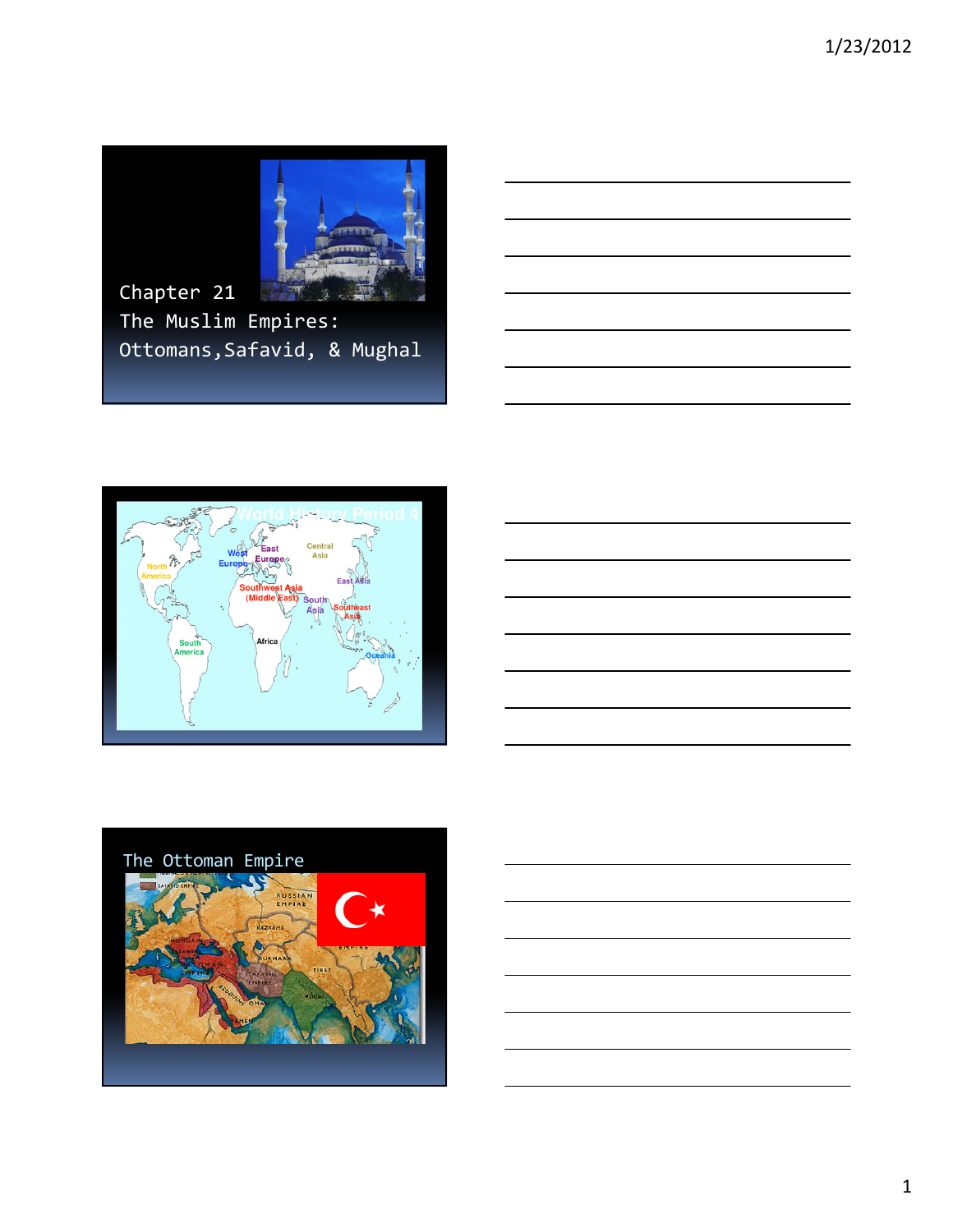

Chapter 21 The Muslim Empires: Ottomans,Safavid, & Mughal





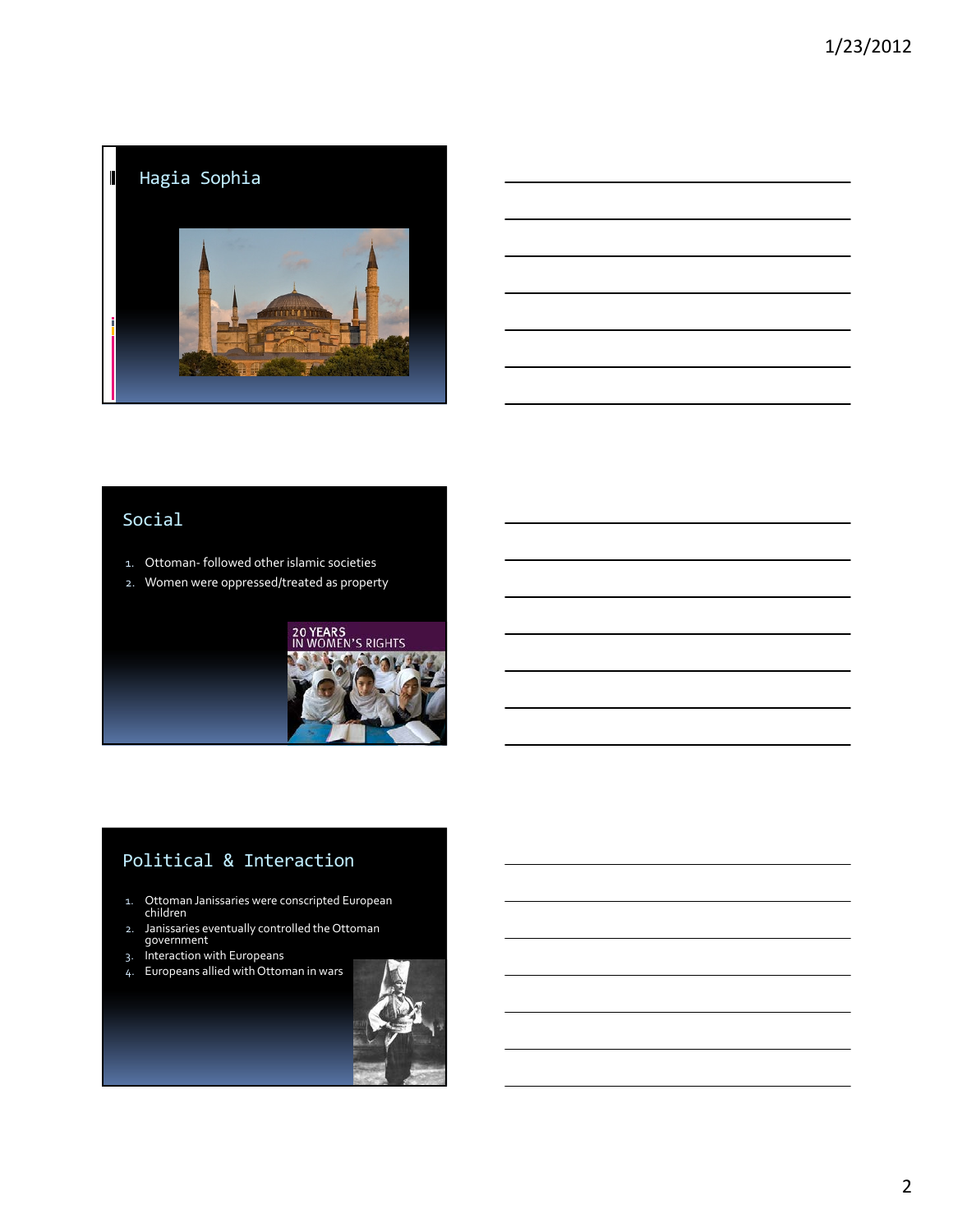

## Social

- 1. Ottoman- followed other islamic societies
- 2. Women were oppressed/treated as property



# Political & Interaction

- 1. Ottoman Janissaries were conscripted European children
- 2. Janissaries eventually controlled the Ottoman government
- 3. Interaction with Europeans
- 4. Europeans allied with Ottoman in wars

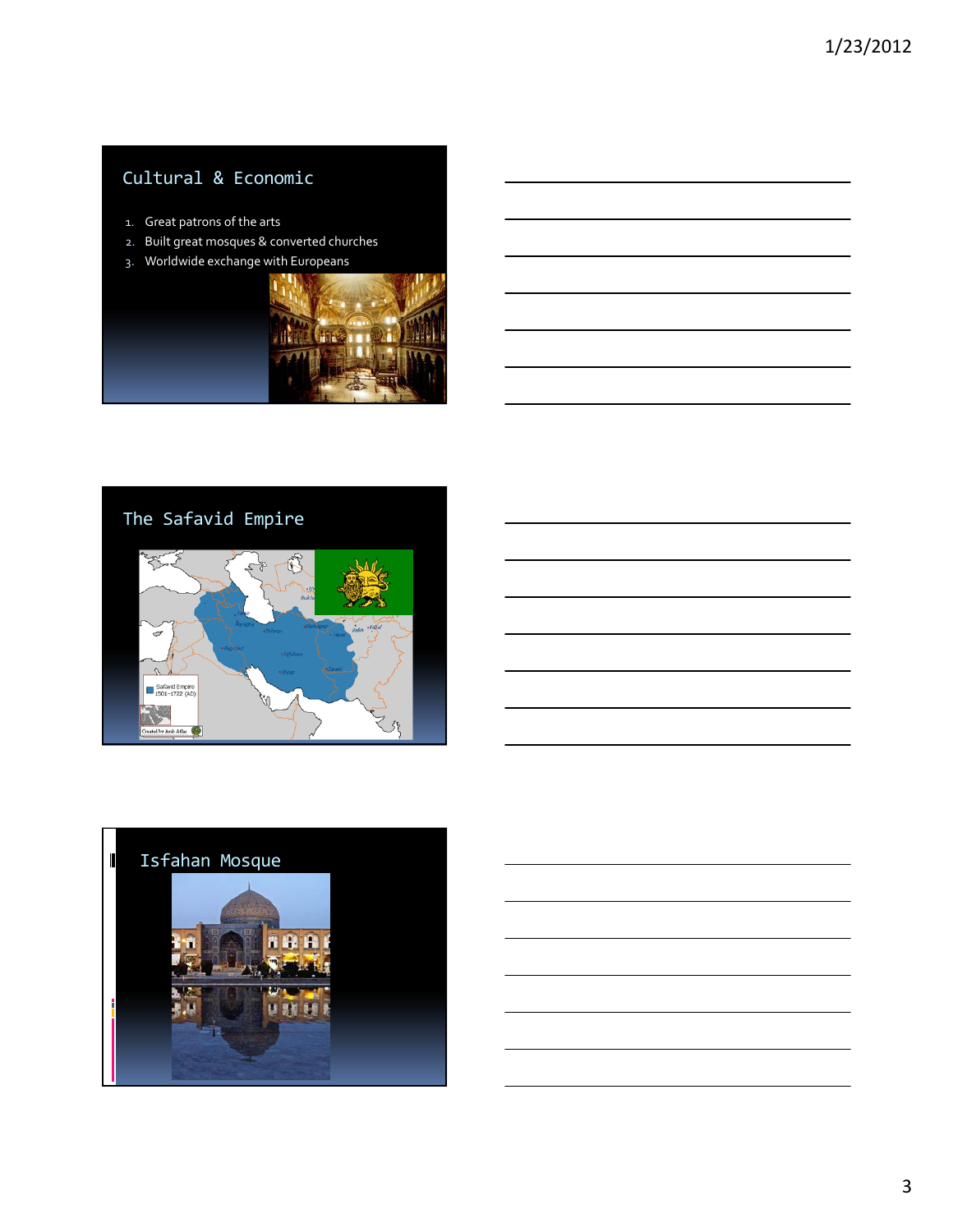# Cultural & Economic

- 1. Great patrons of the arts
- 2. Built great mosques & converted churches
- 3. Worldwide exchange with Europeans





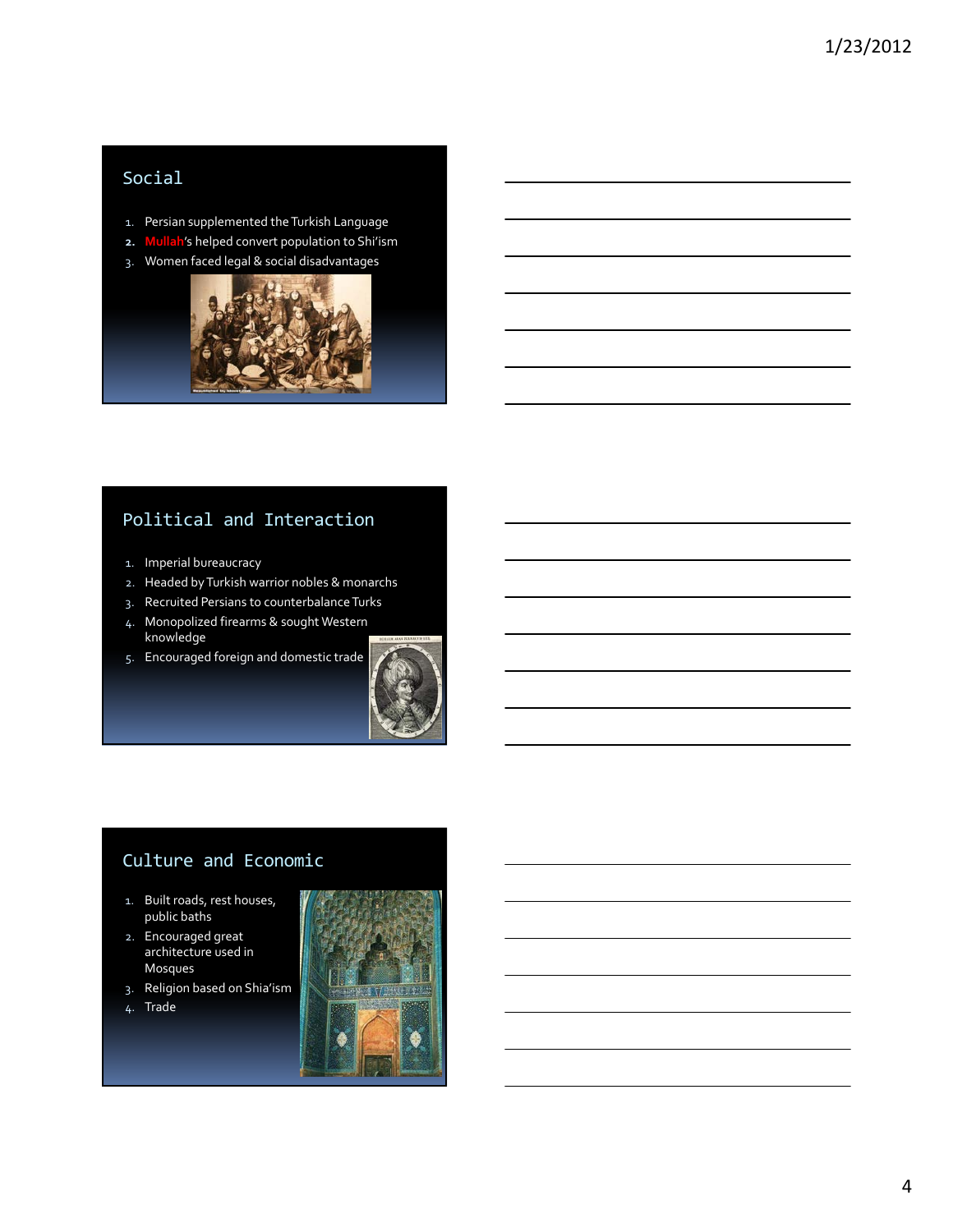## Social

- 1. Persian supplemented the Turkish Language
- 2. Mullah's helped convert population to Shi'ism
- 3. Women faced legal & social disadvantages



### Political and Interaction

- 1. Imperial bureaucracy
- 2. Headed by Turkish warrior nobles & monarchs
- 3. Recruited Persians to counterbalance Turks
- 4. Monopolized firearms & sought Western knowledge
- 5. Encouraged foreign and domestic trade



### Culture and Economic

- 1. Built roads, rest houses, public baths
- 2. Encouraged great architecture used in Mosques
- 3. Religion based on Shia'ism
- 4. Trade

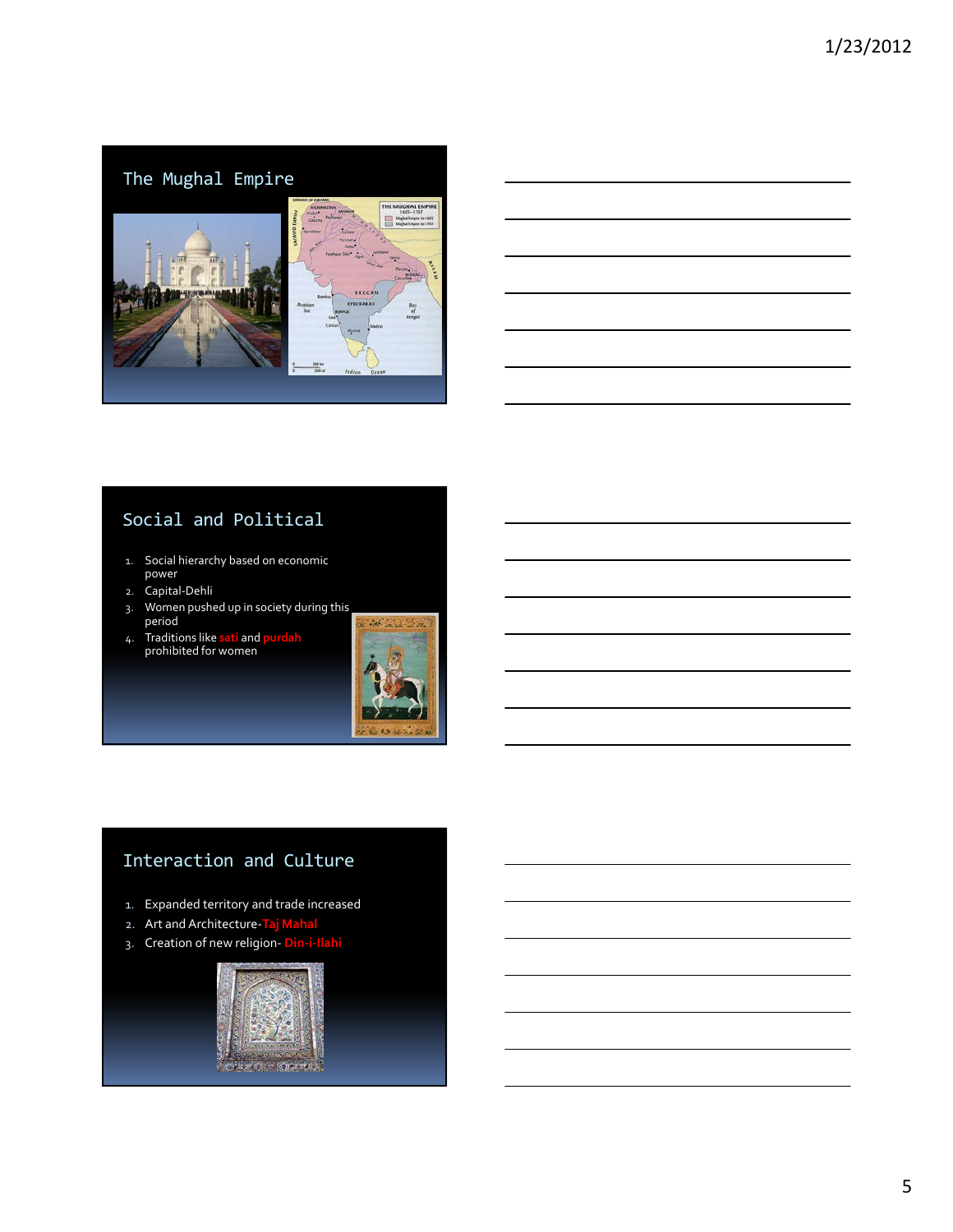# The Mughal Empire



## Social and Political

- 1. Social hierarchy based on economic power
- 2. Capital-Dehli
- 3. Women pushed up in society during this period
- 4. Traditions like sati and purdah prohibited for women



# Interaction and Culture

- 1. Expanded territory and trade increased
- 2. Art and Architecture-Taj Mahal
- 3. Creation of new religion- <mark>Din-i-Ilahi</mark>